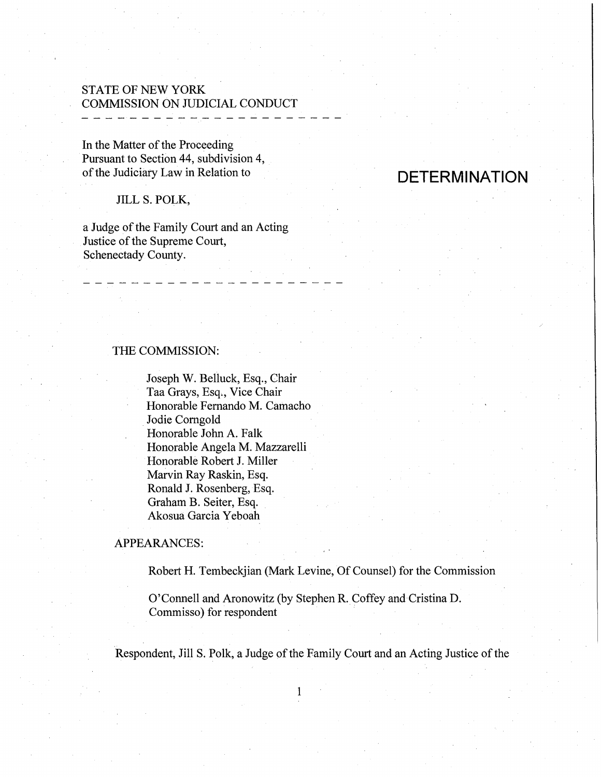## STATE OF NEW YORK COMMISSION ON JUDICIAL CONDUCT - - - - - - - - - -

In the Matter of the Proceeding Pursuant to Section 44, subdivision 4, of the Judiciary Law in Relation to

# JILL S. POLK,

a Judge of the Family Court and an Acting Justice of the Supreme Court, Schenectady County.

### THE COMMISSION:

Joseph W. Belluck, Esq., Chair Taa Grays, Esq., Vice Chair Honorable Fernando M. Camacho Jodie Comgold Honorable John A. Falk Honorable Angela M. Mazzarelli Honorable Robert J. Miller Marvin Ray Raskin, Esq. Ronald J. Rosenberg, Esq. Graham B. Seiter, Esq. Akosua Garcia Yeboah

## APPEARANCES:

Robert H. Tembeckjian (Mark Levine, Of Counsel) for the Commission

**DETERMINATION** 

O'Connell and Aronowitz (by Stephen R. Coffey and Cristina D. Commisso) for respondent

Respondent, Jill S. Polk, a Judge of the Family Court and an Acting Justice of the

1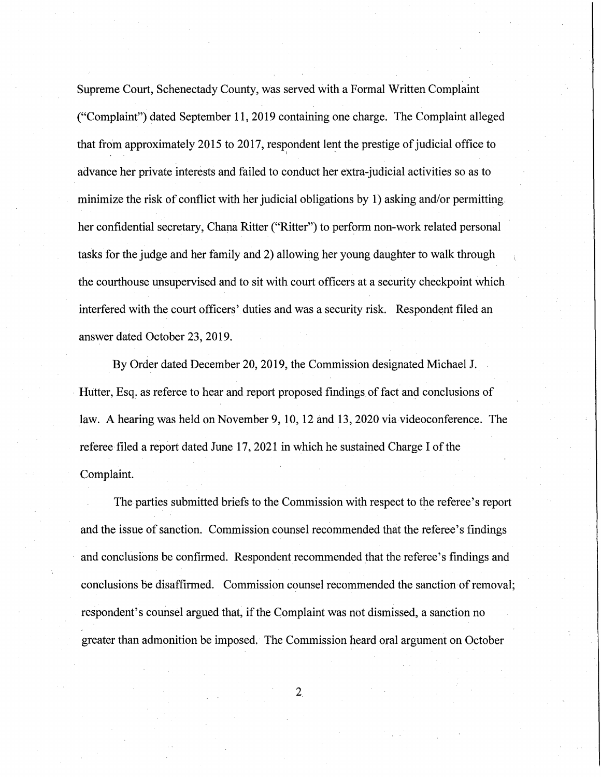Supreme Court, Schenectady County, was served with a Formal Written Complaint ("Complaint") dated September 11, 2019 containing one charge. The Complaint alleged that from approximately 2015 to 2017, respondent lent the prestige of judicial office to  $\alpha$  is a set of  $\alpha$ advance her private interests and failed to conduct her extra-judicial activities so as to minimize the risk of conflict with her judicial obligations by 1) asking and/or permitting. her confidential secretary, Chana Ritter ("Ritter") to perform non-work related personal tasks for the judge and her family and 2) allowing her young daughter to walk through the courthouse unsupervised and to sit with court officers at a security checkpoint which interfered with the court officers' duties and was a security risk. Respondent filed an answer dated October 23, 2019.

By Order dated December 20, 2019, the Commission designated Michael J. Hutter, Esq. as referee to hear and report proposed findings of fact and conclusions of law. A hearing was held on November 9, 10, 12 and 13, 2020 via videoconference. The referee filed a report dated June 17, 2021 in which he sustained Charge I of the Complaint.

The parties submitted briefs to the Commission with respect to the referee's report and the issue of sanction. Commission counsel recommended that the referee's findings and conclusions be confirmed. Respondent recommended that the referee's findings and conclusions be disaffirmed. Commission counsel recommended the sanction of removal; respondent's counsel argued that, if the Complaint was not dismissed, a sanction no greater than admonition be imposed. The Commission heard oral argument on October

2,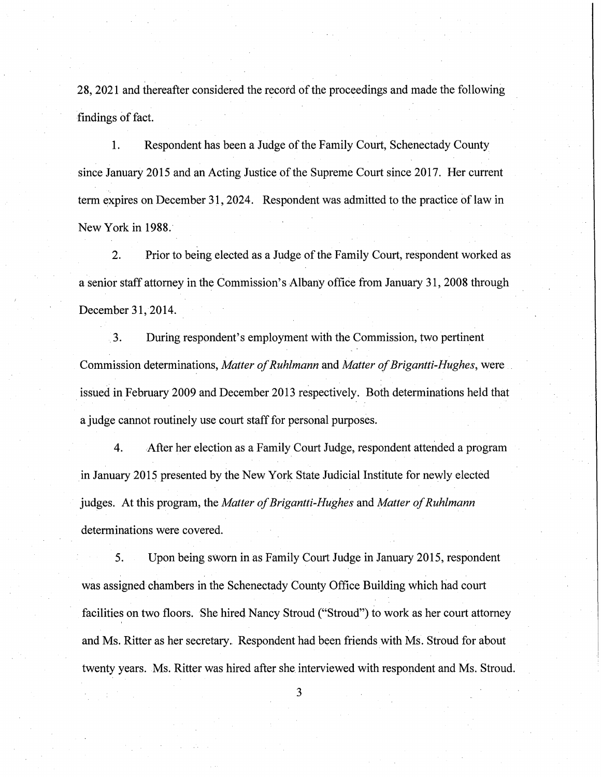28, 2021 and thereafter considered the record of the proceedings and made the following findings of fact.

1. Respondent has been a Judge of the Family Court, Schenectady County since January 2015 and an Acting Justice of the Supreme Court since 2017. Her current term expires on December 31, 2024. Respondent was admitted to the practice of law in New York in 1988.

2. Prior to being elected as a Judge of the Family Court, respondent worked as a senior staff attorney in the Commission's Albany office from January 31, 2008 through December 31, 2014.

3. During respondent's employment with the Commission, two pertinent Commission determinations, *Matter of Ruhlmann* and *Matter of Brigantti-Hughes,* were issued in February 2009 and December 2013 respectively. Both determinations held that a judge cannot routinely use court staff for personal purposes.

4. After her election as a Family Court Judge, respondent attended a program in January 2015 presented by the New York State Judicial Institute for newly elected judges. At this program, the *Matter of Brigantti-Hughes* and *Matter of Ruhlmann*  determinations were covered.

5. Upon being sworn in as Family Court Judge in January 2015, respondent was assigned chambers in the Schenectady County Office Building which had court facilities on two floors. She hired Nancy Stroud ("Stroud") to work as her court attorney and Ms. Ritter as her secretary. Respondent had been friends with Ms. Stroud for about twenty years. Ms. Ritter was hired after she interviewed with respondent and Ms. Stroud.

3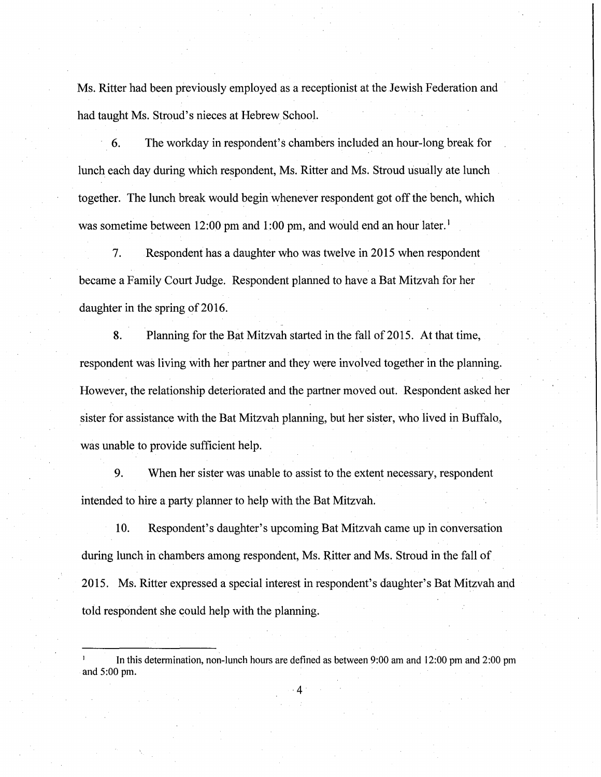Ms. Ritter had been previously employed as a receptionist at the Jewish Federation and had taught Ms. Stroud's nieces at Hebrew School.

6. The workday in respondent's chambers included an hour-long break for lunch each day during which respondent, Ms. Ritter and Ms. Stroud usually ate lunch together. The lunch break would begin whenever respondent got off the bench, which was sometime between 12:00 pm and 1:00 pm, and would end an hour later.<sup>1</sup>

7. Respondent has a daughter who was twelve in 2015 when respondent became a Family Court Judge. Respondent planned to have a Bat Mitzvah for her daughter in the spring of 2016.

8. Planning for the Bat Mitzvah started in the fall of 2015. At that time, respondent was living with her partner and they were involved together in the planning. However, the relationship deteriorated and the partner moved out. Respondent asked her sister for assistance with the Bat Mitzvah planning, but her sister, who lived in Buffalo, was unable to provide sufficient help.

9. When her sister was unable to assist to the extent necessary, respondent intended to hire a party planner to help with the Bat Mitzvah.

10. Respondent's daughter's upcoming Bat Mitzvah came up in conversation during lunch in chambers among respondent, Ms. Ritter and Ms. Stroud in the fall of 2015. Ms·. Ritter expressed a special interest in respondent's daughter's Bat Mitzvah and told respondent she could help with the planning.

·4

In this determination, non-lunch hours are defined as between 9:00 am and 12:00 pm and 2:00 pm and 5:00 pm.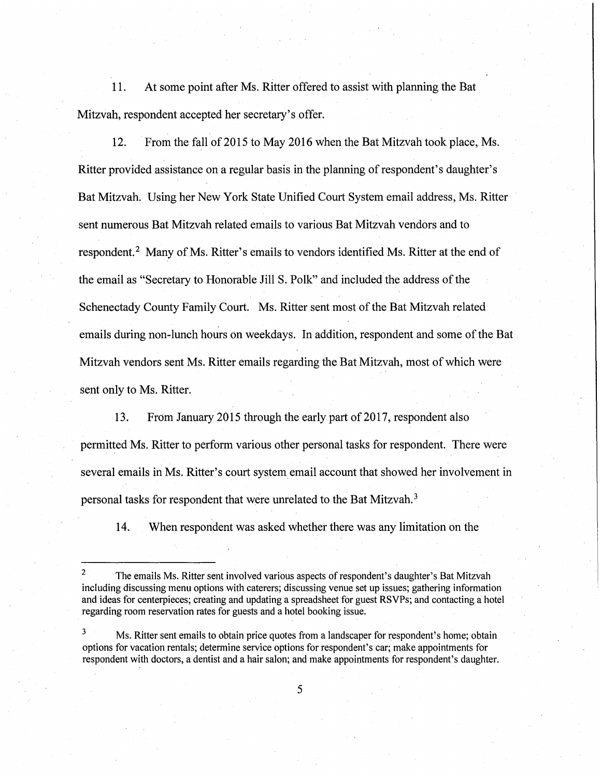11. At some point after Ms. Ritter offered to assist with planning the Bat Mitzvah, respondent accepted her secretary's offer.

12. From the fall of 2015 to May 2016 when the Bat Mitzvah took place, Ms. Ritter provided assistance on a regular basis in the planning of respondent's daughter's Bat Mitzvah. Using her New York State Unified Court System email address, Ms. Ritter sent numerous Bat Mitzvah related emails to various Bat Mitzvah vendors and to respondent.<sup>2</sup> Many of Ms. Ritter's emails to vendors identified Ms. Ritter at the end of the email as "Secretary to Honorable Jill S. Polk" and included the address of the Schenectady County Family Court. Ms. Ritter sent most of the Bat Mitzvah related emails during non-lunch hours on weekdays. In addition, respondent and some of the Bat Mitzvah vendors sent Ms. Ritter emails regarding the Bat Mitzvah, most of which were sent only to Ms. Ritter.

13. From January 2015 through the early part of 2017, respondent also permitted Ms. Ritter to perform various other personal tasks for respondent. There were several emails in Ms. Ritter's court system email account that showed her involvement in personal tasks for respondent that were unrelated to the Bat Mitzvah.<sup>3</sup>

14. When respondent was asked whether there was any limitation on the

The emails Ms. Ritter sent involved various aspects of respondent's daughter's Bat Mitzvah including discussing menu options with caterers; discussing venue set up issues; gathering information and ideas for centerpieces; creating and updating a spreadsheet for guest RSVPs; and contacting a hotel regarding room reservation rates for guests and a hotel booking issue.

 $3$  Ms. Ritter sent emails to obtain price quotes from a landscaper for respondent's home; obtain options for vacation rentals; determine service options for respondent's car; make appointments for respondent with doctors, a dentist and a hair salon; and make appointments for respondent's daughter.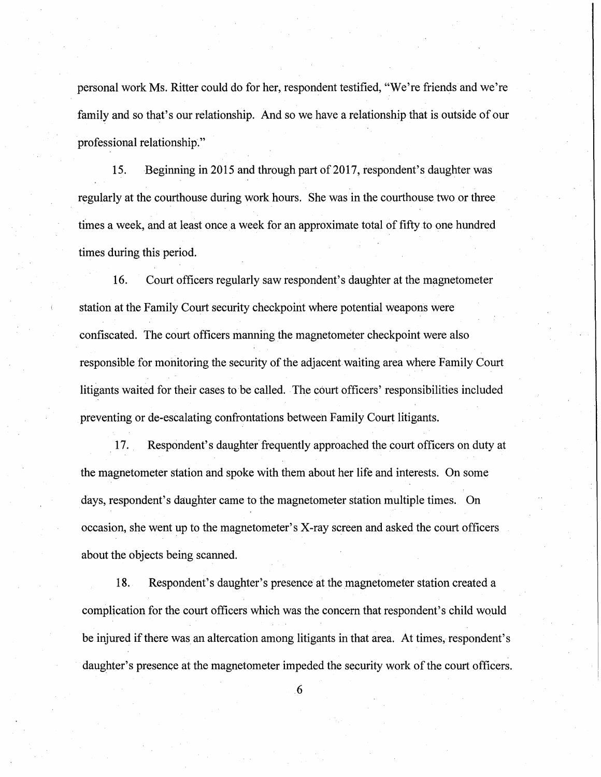personal work Ms. Ritter could do for her, respondent testified, "We're friends and we're family and so that's our relationship. And so we have a relationship that is outside of our professional relationship."

15. Beginning in 2015 and through part of 2017, respondent's daughter was regularly at the courthouse during work hours. She was in the courthouse two or three times a week, and at least once a week for an approximate total of fifty to one hundred times during this period.

16. Court officers regularly saw respondent's daughter at the magnetometer station at the Family Court security checkpoint where potential weapons were confiscated. The court officers manning the magnetometer checkpoint were also responsible for monitoring the security of the adjacent waiting area where Family Court litigants waited for their cases to be called. The court officers' responsibilities included preventing or de-escalating confrontations between Family Court litigants.

17. . Respondent's daughter frequently approached the court officers on duty at the magnetometer station and spoke with them about her life and interests. On some days, respondent's daughter came to the magnetometer station multiple times. On occasion, she went up to the magnetometer's X-ray screen and asked the court officers about the objects being scanned.

18. Respondent's daughter's presence at the magnetometer station created a complication for the court officers which was the concern that respondent's child would be injured if there was an altercation among litigants in that area. At times, respondent's daughter's presence at the magnetometer impeded the security work of the court officers.

. 6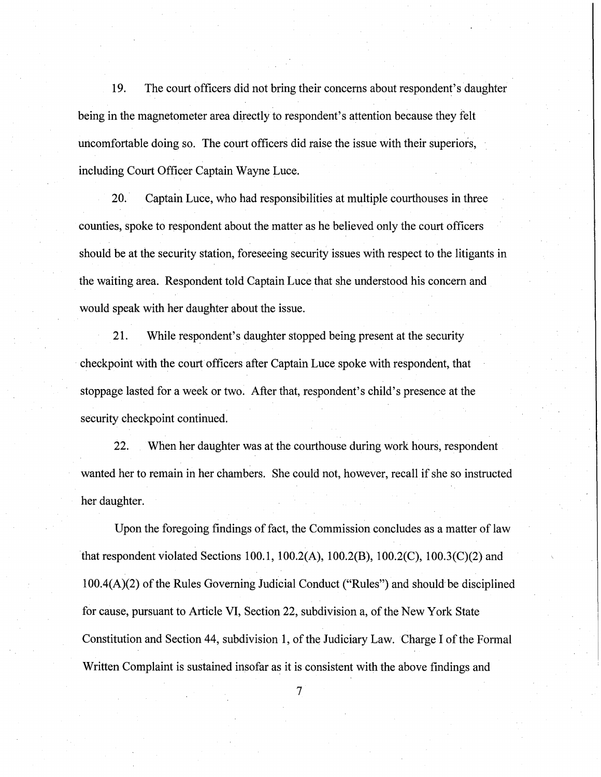19. The court officers did not bring their concerns about respondent's daughter being in the magnetometer area directly to respondent's attention because they felt uncomfortable doing so. The court officers did raise the issue with their superiors, including Court Officer Captain Wayne Luce.

20. Captain Luce, who had responsibilities at multiple courthouses in three counties, spoke to respondent about the matter as he believed only the court officers should be at the security station, foreseeing security issues with respect to the litigants in the waiting area. Respondent told Captain Luce that she understood his concern and would speak with her daughter about the issue.

21. While respondent's daughter stopped being present at the security · checkpoint with the court officers after Captain Luce spoke with respondent, that stoppage lasted for a week or two. After that, respondent's child's presence at the security checkpoint continued.

22. When her daughter was at the courthouse during work hours, respondent wanted her to remain in her chambers. She could not, however, recall if she so instructed her daughter.

Upon the foregoing findings of fact, the Commission concludes as a matter of law that respondent violated Sections 100.1, 100.2(A), 100.2(B), 100.2(C), 100.3(C)(2) and  $100.4(A)(2)$  of the Rules Governing Judicial Conduct ("Rules") and should be disciplined for cause, pursuant to Article VI, Section 22, subdivision a, of the New York State Constitution and Section 44, subdivision 1, of the Judiciary Law. Charge I of the Formal Written Complaint is sustained insofar as it is consistent with the above findings and

 $7\overline{)}$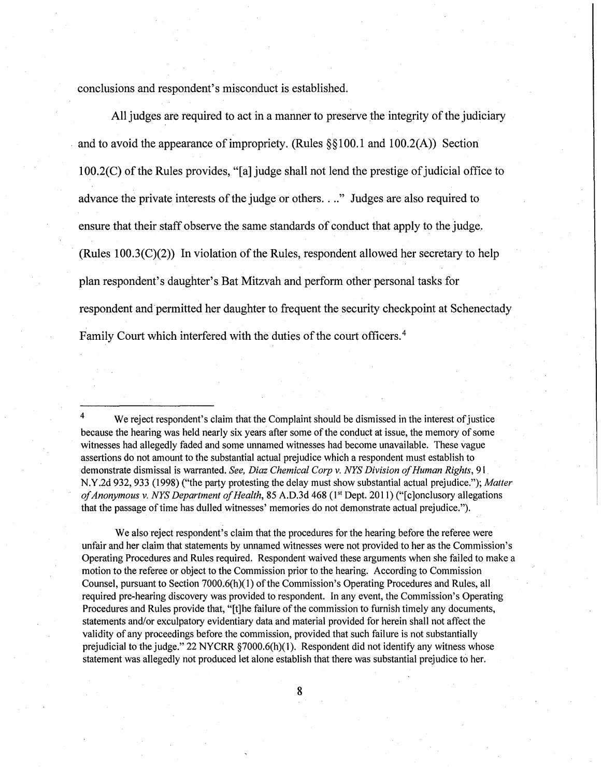conclusions and respondent's misconduct is established.

All judges are required to act in a manner to preserve the integrity of the judiciary and to avoid the appearance of impropriety. (Rules  $\S$ §100.1 and 100.2(A)) Section 100.2(C) of the Rules provides, "[a] judge shall not lend the prestige of judicial office to advance the private interests of the judge or others. ..." Judges are also required to ensure that their staff observe the same standards of conduct that apply to the judge. (Rules 100.3(C)(2)) In violation of the Rules, respondent allowed her secretary to help plan respondent's daughter's Bat Mitzvah and perform other personal tasks for respondent and permitted her daughter to frequent the security checkpoint at Schenectady Family Court which interfered with the duties of the court officers. 4

We also reject respondent's claim that the procedures for the hearing before the referee were unfair and her claim that statements by unnamed witnesses were not provided to her as the Commission's Operating Procedures and Rules required. Respondent waived these arguments when she failed to make a motion to the referee or object to the Commission prior to the hearing. According to Commission Counsel, pursuant to Section 7000.6(h) $(1)$  of the Commission's Operating Procedures and Rules, all required pre-hearing discovery was provided to respondent. In any event, the Commission's Operating Procedures and Rules provide that, "[t]he failure of the commission to furnish timely any documents, statements and/or exculpatory evidentiary data and material provided for herein shall not affect the validity of any proceedings before the commission, provided that such failure is not substantially prejudicial to the judge." 22 NYCRR §7000.6(h)(1). Respondent did not identify any witness whose statement was allegedly not produced let alone establish that there was substantial prejudice to her.

We reject respondent's claim that the Complaint should be dismissed in the interest of justice because the hearing was held nearly six years after some of the conduct at issue, the memory of some witnesses had allegedly faded and some unnamed witnesses had become unavailable. These vague assertions do not amount to the substantial actual prejudice which a respondent must establish to demonstrate dismissal is warranted. *See, Diaz Chemical Corp v. NYS Division of Human Rights,* 91 N.Y.2d 932,933 (1998) ("the party protesting the delay must show substantial actual prejudice."); *Matter of Anonymous v. NYS Department of Health,* 85 A.D.3d 468 (1<sup>st</sup> Dept. 2011) ("[c]onclusory allegations that the passage of time has dulled witnesses' memories do not demonstrate actual prejudice.").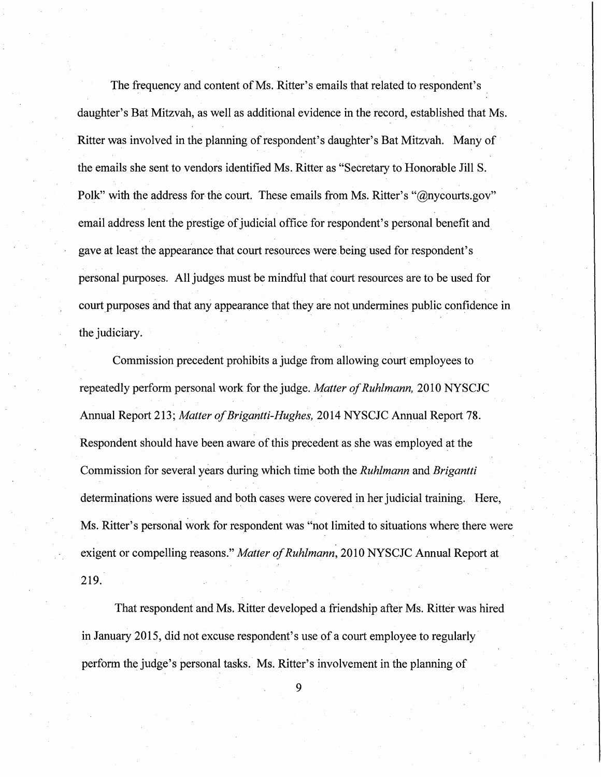The frequency and content of Ms. Ritter's emails that related to respondent's daughter's Bat Mitzvah, as well as additional evidence in the record, established that Ms. Ritter was involved in the planning of respondent's daughter's Bat Mitzvah. Many of the emails she sent to vendors identified Ms. Ritter as "Secretary to Honorable Jill S. Polk" with the address for the court. These emails from Ms. Ritter's "@nycourts.gov" email address lent the prestige of judicial office for respondent's personal benefit and gave at least the appearance that court resources were being used for respondent's personal purposes. All judges must be mindful that court resources are to be used for court purposes and that any appearance that they are not undermines public confidence in the judiciary.

Commission precedent prohibits a judge from allowing court employees to repeatedly perform personal work for the judge. *Matter of Ruhlmann,* 20 IO NYSCJC Annual Report 213; *Matter of Brigantti-Hughes,* 2014 NYSCJC Annual Report 78. Respondent should have been aware of this precedent as she was employed at the Commission for several years during which time both the *Ruhlmann* and *Brigantti*  determinations were issued and both cases were covered in her judicial training. Here, Ms. Ritter's personal work for respondent was "not limited to situations where there were exigent or compelling reasons." *Matter of Ruhlmann,* 2010 NYSCJC Annual Report at 219.

That respondent and Ms. Ritter developed a friendship after Ms. Ritter was hired in January 2015, did not excuse respondent's use of a court employee to regularly· perform the judge's personal tasks. Ms. Ritter's involvement in the planning of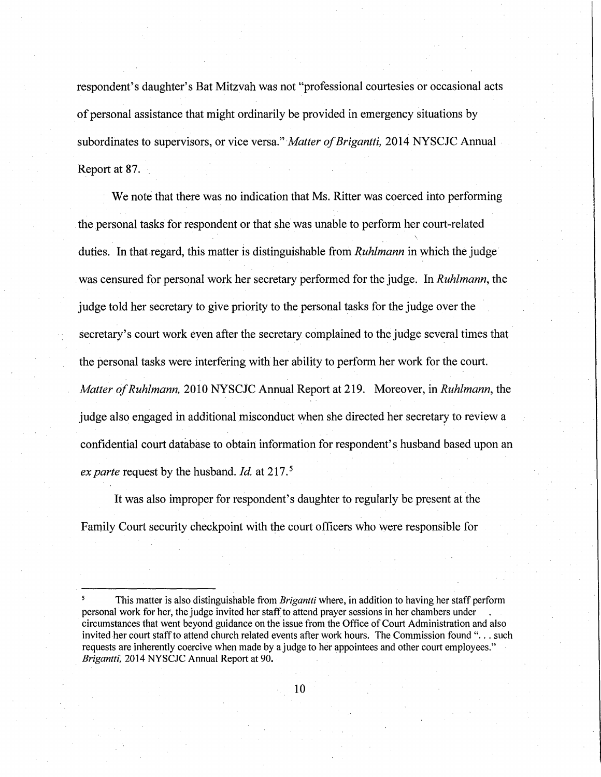respondent's daughter's Bat Mitzvah was not "professional courtesies or occasional acts of personal assistance that might ordinarily be provided in emergency situations by subordinates to supervisors, or vice versa." *Matter of Brigantti,* 2014 NYSCJC Annual Report at 87.

We note that there was no indication that Ms. Ritter was coerced into performing . the personal tasks for respondent or that she was unable to perform her court-related duties. In that regard, this matter is distinguishable from *Ruhlmann* in which the judge· was censured for personal work her secretary performed for the judge. In *Ruhlmann,* the judge told her secretary to give priority to the personal tasks for the judge over the secretary's court work even after the secretary complained to the judge several times that the personal tasks were interfering with her ability to perform her work for the court. *Matter of Ruhlmann,* 2010 NYSCJC Annual Report at 219. Moreover, in *Ruhlmann,* the judge also engaged in additional misconduct when she directed her secretary to review a confidential court database to obtain information for respondent's husband based upon an *ex parte* request by the husband. *Id.* at 217. <sup>5</sup>

It was also improper for respondent's daughter to regularly be present at the Family Court security checkpoint with the court officers who were responsible for

*<sup>5</sup>*This matter is also distinguishable from *Brigantti* where, in addition to having her staff perform personal work for her, the judge invited her staff to attend prayer sessions in her chambers under circumstances that went beyond guidance on the issue from the Office of Court Administration and also invited her court staff to attend church related events after work hours. The Commission found "... such requests are inherently coercive when made by a judge to her appointees and other court employees." . *Brigantti,* 2014 NYSCJC Annual Report at 90. ·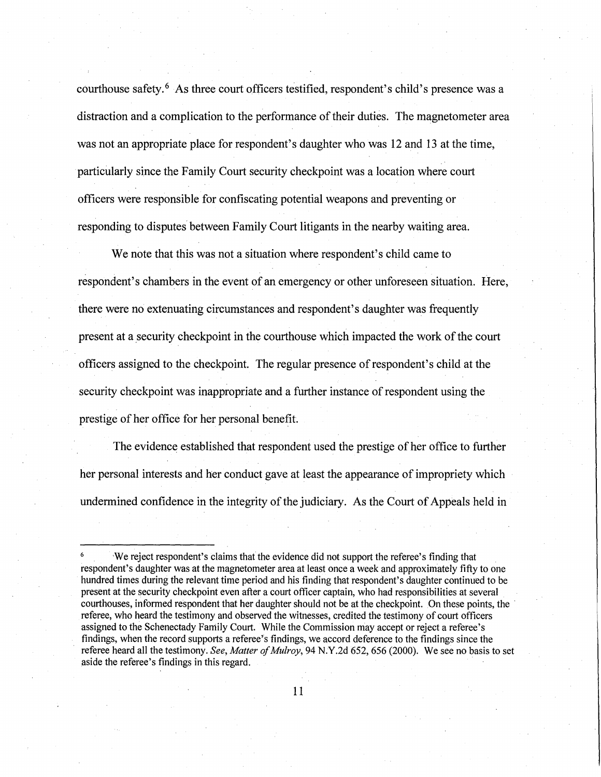courthouse safety. 6 As three court officers testified, respondent's child's presence was a distraction and a complication to the performance of their duties. The magnetometer area was not an appropriate place for respondent's daughter who was 12 and 13 at the time, particularly since the Family Court security checkpoint was a location where court officers were responsible for confiscating potential weapons and preventing or responding to disputes between Family Court litigants in the nearby waiting area.

We note that this was not a situation where respondent's child came to respondent's chambers in the event of an emergency or other unforeseen situation. Here, there were no extenuating circumstances and respondent's daughter was frequently present at a security checkpoint in the courthouse which impacted the work of the court officers assigned to the checkpoint. The regular presence of respondent's child at the security checkpoint was inappropriate and a further instance of respondent using the prestige of her office for her personal benefit.

The evidence established that respondent used the prestige of her office to further her personal interests and her conduct gave at least the appearance of impropriety which undermined confidence in the integrity of the judiciary. As the Court of Appeals held in

We reject respondent's claims that the evidence did not support the referee's finding that respondent's daughter was at the magnetometer area at least once a week and approximately fifty to one hundred times. during the relevant time period and his finding that respondent's daughter continued to be present at the security checkpoint even after a court officer captain, who had responsibilities at several courthouses, informed respondent that her daughter should not be at the checkpoint. On these points, the referee, who heard the testimony and observed the witnesses, credited the testimony of court officers assigned to the Schenectady Family Court. While the Commission may accept or reject a referee's findings, when the record supports a referee's findings, we accord deference to the findings since the referee heard all the testimony. *See, Matter of Mulroy,* 94 N.Y.2d 652, *656* (2000). We see no basis to set aside the referee's findings in this regard.